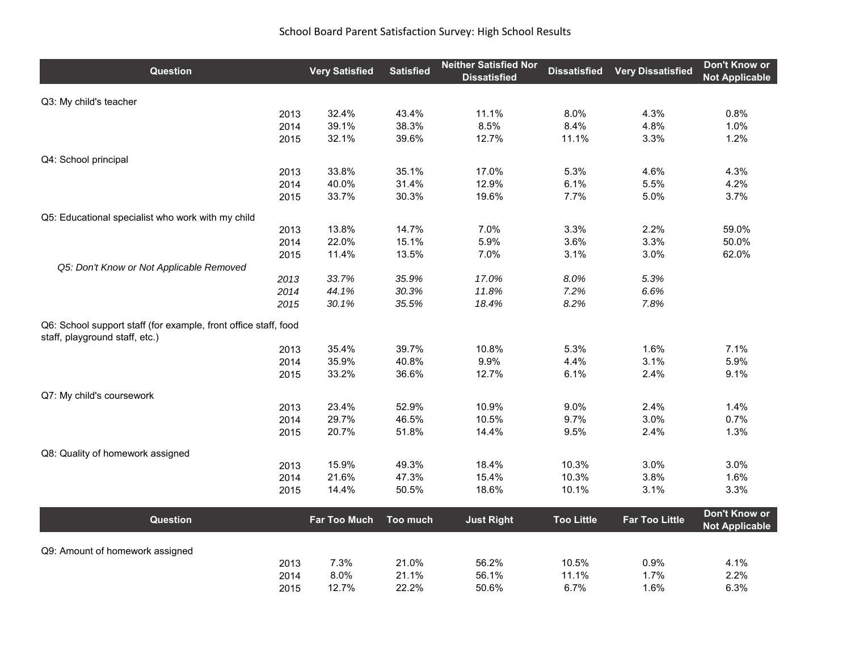## School Board Parent Satisfaction Survey: High School Results

| Q3: My child's teacher<br>32.4%<br>43.4%<br>11.1%<br>4.3%<br>0.8%<br>2013<br>8.0%<br>39.1%<br>38.3%<br>8.5%<br>8.4%<br>4.8%<br>1.0%<br>2014<br>39.6%<br>12.7%<br>11.1%<br>1.2%<br>2015<br>32.1%<br>3.3%<br>Q4: School principal<br>33.8%<br>35.1%<br>17.0%<br>5.3%<br>4.6%<br>4.3%<br>2013<br>40.0%<br>31.4%<br>12.9%<br>6.1%<br>5.5%<br>4.2%<br>2014<br>19.6%<br>2015<br>33.7%<br>30.3%<br>7.7%<br>5.0%<br>3.7%<br>Q5: Educational specialist who work with my child<br>7.0%<br>13.8%<br>14.7%<br>3.3%<br>2.2%<br>59.0%<br>2013<br>22.0%<br>15.1%<br>5.9%<br>3.6%<br>3.3%<br>2014<br>50.0%<br>13.5%<br>7.0%<br>3.0%<br>62.0%<br>11.4%<br>3.1%<br>2015<br>Q5: Don't Know or Not Applicable Removed<br>17.0%<br>33.7%<br>35.9%<br>8.0%<br>5.3%<br>2013<br>2014<br>44.1%<br>30.3%<br>11.8%<br>7.2%<br>6.6%<br>30.1%<br>35.5%<br>18.4%<br>8.2%<br>7.8%<br>2015<br>Q6: School support staff (for example, front office staff, food<br>staff, playground staff, etc.)<br>35.4%<br>39.7%<br>10.8%<br>5.3%<br>1.6%<br>7.1%<br>2013<br>35.9%<br>40.8%<br>9.9%<br>3.1%<br>5.9%<br>2014<br>4.4%<br>33.2%<br>36.6%<br>12.7%<br>6.1%<br>2.4%<br>9.1%<br>2015<br>Q7: My child's coursework<br>23.4%<br>52.9%<br>10.9%<br>1.4%<br>9.0%<br>2.4%<br>2013<br>29.7%<br>9.7%<br>3.0%<br>0.7%<br>46.5%<br>10.5%<br>2014<br>2015<br>20.7%<br>51.8%<br>14.4%<br>9.5%<br>2.4%<br>1.3%<br>Q8: Quality of homework assigned<br>15.9%<br>49.3%<br>18.4%<br>10.3%<br>3.0%<br>3.0%<br>2013<br>21.6%<br>47.3%<br>15.4%<br>10.3%<br>3.8%<br>2014<br>1.6%<br>18.6%<br>3.1%<br>3.3%<br>14.4%<br>50.5%<br>10.1%<br>2015<br>Don't Know or<br><b>Too Little</b><br>Question<br><b>Far Too Much</b><br>Too much<br><b>Just Right</b><br><b>Far Too Little</b><br><b>Not Applicable</b><br>Q9: Amount of homework assigned<br>21.0%<br>7.3%<br>56.2%<br>10.5%<br>0.9%<br>4.1%<br>2013<br>8.0%<br>21.1%<br>56.1%<br>11.1%<br>1.7%<br>2.2%<br>2014<br>12.7%<br>22.2%<br>50.6%<br>6.7%<br>1.6%<br>6.3%<br>2015 | Question | <b>Very Satisfied</b> | <b>Satisfied</b> | <b>Neither Satisfied Nor</b><br><b>Dissatisfied</b> | <b>Dissatisfied</b> | <b>Very Dissatisfied</b> | Don't Know or<br><b>Not Applicable</b> |
|------------------------------------------------------------------------------------------------------------------------------------------------------------------------------------------------------------------------------------------------------------------------------------------------------------------------------------------------------------------------------------------------------------------------------------------------------------------------------------------------------------------------------------------------------------------------------------------------------------------------------------------------------------------------------------------------------------------------------------------------------------------------------------------------------------------------------------------------------------------------------------------------------------------------------------------------------------------------------------------------------------------------------------------------------------------------------------------------------------------------------------------------------------------------------------------------------------------------------------------------------------------------------------------------------------------------------------------------------------------------------------------------------------------------------------------------------------------------------------------------------------------------------------------------------------------------------------------------------------------------------------------------------------------------------------------------------------------------------------------------------------------------------------------------------------------------------------------------------------------------------------------------------------------------------------------------------------------------|----------|-----------------------|------------------|-----------------------------------------------------|---------------------|--------------------------|----------------------------------------|
|                                                                                                                                                                                                                                                                                                                                                                                                                                                                                                                                                                                                                                                                                                                                                                                                                                                                                                                                                                                                                                                                                                                                                                                                                                                                                                                                                                                                                                                                                                                                                                                                                                                                                                                                                                                                                                                                                                                                                                        |          |                       |                  |                                                     |                     |                          |                                        |
|                                                                                                                                                                                                                                                                                                                                                                                                                                                                                                                                                                                                                                                                                                                                                                                                                                                                                                                                                                                                                                                                                                                                                                                                                                                                                                                                                                                                                                                                                                                                                                                                                                                                                                                                                                                                                                                                                                                                                                        |          |                       |                  |                                                     |                     |                          |                                        |
|                                                                                                                                                                                                                                                                                                                                                                                                                                                                                                                                                                                                                                                                                                                                                                                                                                                                                                                                                                                                                                                                                                                                                                                                                                                                                                                                                                                                                                                                                                                                                                                                                                                                                                                                                                                                                                                                                                                                                                        |          |                       |                  |                                                     |                     |                          |                                        |
|                                                                                                                                                                                                                                                                                                                                                                                                                                                                                                                                                                                                                                                                                                                                                                                                                                                                                                                                                                                                                                                                                                                                                                                                                                                                                                                                                                                                                                                                                                                                                                                                                                                                                                                                                                                                                                                                                                                                                                        |          |                       |                  |                                                     |                     |                          |                                        |
|                                                                                                                                                                                                                                                                                                                                                                                                                                                                                                                                                                                                                                                                                                                                                                                                                                                                                                                                                                                                                                                                                                                                                                                                                                                                                                                                                                                                                                                                                                                                                                                                                                                                                                                                                                                                                                                                                                                                                                        |          |                       |                  |                                                     |                     |                          |                                        |
|                                                                                                                                                                                                                                                                                                                                                                                                                                                                                                                                                                                                                                                                                                                                                                                                                                                                                                                                                                                                                                                                                                                                                                                                                                                                                                                                                                                                                                                                                                                                                                                                                                                                                                                                                                                                                                                                                                                                                                        |          |                       |                  |                                                     |                     |                          |                                        |
|                                                                                                                                                                                                                                                                                                                                                                                                                                                                                                                                                                                                                                                                                                                                                                                                                                                                                                                                                                                                                                                                                                                                                                                                                                                                                                                                                                                                                                                                                                                                                                                                                                                                                                                                                                                                                                                                                                                                                                        |          |                       |                  |                                                     |                     |                          |                                        |
|                                                                                                                                                                                                                                                                                                                                                                                                                                                                                                                                                                                                                                                                                                                                                                                                                                                                                                                                                                                                                                                                                                                                                                                                                                                                                                                                                                                                                                                                                                                                                                                                                                                                                                                                                                                                                                                                                                                                                                        |          |                       |                  |                                                     |                     |                          |                                        |
|                                                                                                                                                                                                                                                                                                                                                                                                                                                                                                                                                                                                                                                                                                                                                                                                                                                                                                                                                                                                                                                                                                                                                                                                                                                                                                                                                                                                                                                                                                                                                                                                                                                                                                                                                                                                                                                                                                                                                                        |          |                       |                  |                                                     |                     |                          |                                        |
|                                                                                                                                                                                                                                                                                                                                                                                                                                                                                                                                                                                                                                                                                                                                                                                                                                                                                                                                                                                                                                                                                                                                                                                                                                                                                                                                                                                                                                                                                                                                                                                                                                                                                                                                                                                                                                                                                                                                                                        |          |                       |                  |                                                     |                     |                          |                                        |
|                                                                                                                                                                                                                                                                                                                                                                                                                                                                                                                                                                                                                                                                                                                                                                                                                                                                                                                                                                                                                                                                                                                                                                                                                                                                                                                                                                                                                                                                                                                                                                                                                                                                                                                                                                                                                                                                                                                                                                        |          |                       |                  |                                                     |                     |                          |                                        |
|                                                                                                                                                                                                                                                                                                                                                                                                                                                                                                                                                                                                                                                                                                                                                                                                                                                                                                                                                                                                                                                                                                                                                                                                                                                                                                                                                                                                                                                                                                                                                                                                                                                                                                                                                                                                                                                                                                                                                                        |          |                       |                  |                                                     |                     |                          |                                        |
|                                                                                                                                                                                                                                                                                                                                                                                                                                                                                                                                                                                                                                                                                                                                                                                                                                                                                                                                                                                                                                                                                                                                                                                                                                                                                                                                                                                                                                                                                                                                                                                                                                                                                                                                                                                                                                                                                                                                                                        |          |                       |                  |                                                     |                     |                          |                                        |
|                                                                                                                                                                                                                                                                                                                                                                                                                                                                                                                                                                                                                                                                                                                                                                                                                                                                                                                                                                                                                                                                                                                                                                                                                                                                                                                                                                                                                                                                                                                                                                                                                                                                                                                                                                                                                                                                                                                                                                        |          |                       |                  |                                                     |                     |                          |                                        |
|                                                                                                                                                                                                                                                                                                                                                                                                                                                                                                                                                                                                                                                                                                                                                                                                                                                                                                                                                                                                                                                                                                                                                                                                                                                                                                                                                                                                                                                                                                                                                                                                                                                                                                                                                                                                                                                                                                                                                                        |          |                       |                  |                                                     |                     |                          |                                        |
|                                                                                                                                                                                                                                                                                                                                                                                                                                                                                                                                                                                                                                                                                                                                                                                                                                                                                                                                                                                                                                                                                                                                                                                                                                                                                                                                                                                                                                                                                                                                                                                                                                                                                                                                                                                                                                                                                                                                                                        |          |                       |                  |                                                     |                     |                          |                                        |
|                                                                                                                                                                                                                                                                                                                                                                                                                                                                                                                                                                                                                                                                                                                                                                                                                                                                                                                                                                                                                                                                                                                                                                                                                                                                                                                                                                                                                                                                                                                                                                                                                                                                                                                                                                                                                                                                                                                                                                        |          |                       |                  |                                                     |                     |                          |                                        |
|                                                                                                                                                                                                                                                                                                                                                                                                                                                                                                                                                                                                                                                                                                                                                                                                                                                                                                                                                                                                                                                                                                                                                                                                                                                                                                                                                                                                                                                                                                                                                                                                                                                                                                                                                                                                                                                                                                                                                                        |          |                       |                  |                                                     |                     |                          |                                        |
|                                                                                                                                                                                                                                                                                                                                                                                                                                                                                                                                                                                                                                                                                                                                                                                                                                                                                                                                                                                                                                                                                                                                                                                                                                                                                                                                                                                                                                                                                                                                                                                                                                                                                                                                                                                                                                                                                                                                                                        |          |                       |                  |                                                     |                     |                          |                                        |
|                                                                                                                                                                                                                                                                                                                                                                                                                                                                                                                                                                                                                                                                                                                                                                                                                                                                                                                                                                                                                                                                                                                                                                                                                                                                                                                                                                                                                                                                                                                                                                                                                                                                                                                                                                                                                                                                                                                                                                        |          |                       |                  |                                                     |                     |                          |                                        |
|                                                                                                                                                                                                                                                                                                                                                                                                                                                                                                                                                                                                                                                                                                                                                                                                                                                                                                                                                                                                                                                                                                                                                                                                                                                                                                                                                                                                                                                                                                                                                                                                                                                                                                                                                                                                                                                                                                                                                                        |          |                       |                  |                                                     |                     |                          |                                        |
|                                                                                                                                                                                                                                                                                                                                                                                                                                                                                                                                                                                                                                                                                                                                                                                                                                                                                                                                                                                                                                                                                                                                                                                                                                                                                                                                                                                                                                                                                                                                                                                                                                                                                                                                                                                                                                                                                                                                                                        |          |                       |                  |                                                     |                     |                          |                                        |
|                                                                                                                                                                                                                                                                                                                                                                                                                                                                                                                                                                                                                                                                                                                                                                                                                                                                                                                                                                                                                                                                                                                                                                                                                                                                                                                                                                                                                                                                                                                                                                                                                                                                                                                                                                                                                                                                                                                                                                        |          |                       |                  |                                                     |                     |                          |                                        |
|                                                                                                                                                                                                                                                                                                                                                                                                                                                                                                                                                                                                                                                                                                                                                                                                                                                                                                                                                                                                                                                                                                                                                                                                                                                                                                                                                                                                                                                                                                                                                                                                                                                                                                                                                                                                                                                                                                                                                                        |          |                       |                  |                                                     |                     |                          |                                        |
|                                                                                                                                                                                                                                                                                                                                                                                                                                                                                                                                                                                                                                                                                                                                                                                                                                                                                                                                                                                                                                                                                                                                                                                                                                                                                                                                                                                                                                                                                                                                                                                                                                                                                                                                                                                                                                                                                                                                                                        |          |                       |                  |                                                     |                     |                          |                                        |
|                                                                                                                                                                                                                                                                                                                                                                                                                                                                                                                                                                                                                                                                                                                                                                                                                                                                                                                                                                                                                                                                                                                                                                                                                                                                                                                                                                                                                                                                                                                                                                                                                                                                                                                                                                                                                                                                                                                                                                        |          |                       |                  |                                                     |                     |                          |                                        |
|                                                                                                                                                                                                                                                                                                                                                                                                                                                                                                                                                                                                                                                                                                                                                                                                                                                                                                                                                                                                                                                                                                                                                                                                                                                                                                                                                                                                                                                                                                                                                                                                                                                                                                                                                                                                                                                                                                                                                                        |          |                       |                  |                                                     |                     |                          |                                        |
|                                                                                                                                                                                                                                                                                                                                                                                                                                                                                                                                                                                                                                                                                                                                                                                                                                                                                                                                                                                                                                                                                                                                                                                                                                                                                                                                                                                                                                                                                                                                                                                                                                                                                                                                                                                                                                                                                                                                                                        |          |                       |                  |                                                     |                     |                          |                                        |
|                                                                                                                                                                                                                                                                                                                                                                                                                                                                                                                                                                                                                                                                                                                                                                                                                                                                                                                                                                                                                                                                                                                                                                                                                                                                                                                                                                                                                                                                                                                                                                                                                                                                                                                                                                                                                                                                                                                                                                        |          |                       |                  |                                                     |                     |                          |                                        |
|                                                                                                                                                                                                                                                                                                                                                                                                                                                                                                                                                                                                                                                                                                                                                                                                                                                                                                                                                                                                                                                                                                                                                                                                                                                                                                                                                                                                                                                                                                                                                                                                                                                                                                                                                                                                                                                                                                                                                                        |          |                       |                  |                                                     |                     |                          |                                        |
|                                                                                                                                                                                                                                                                                                                                                                                                                                                                                                                                                                                                                                                                                                                                                                                                                                                                                                                                                                                                                                                                                                                                                                                                                                                                                                                                                                                                                                                                                                                                                                                                                                                                                                                                                                                                                                                                                                                                                                        |          |                       |                  |                                                     |                     |                          |                                        |
|                                                                                                                                                                                                                                                                                                                                                                                                                                                                                                                                                                                                                                                                                                                                                                                                                                                                                                                                                                                                                                                                                                                                                                                                                                                                                                                                                                                                                                                                                                                                                                                                                                                                                                                                                                                                                                                                                                                                                                        |          |                       |                  |                                                     |                     |                          |                                        |
|                                                                                                                                                                                                                                                                                                                                                                                                                                                                                                                                                                                                                                                                                                                                                                                                                                                                                                                                                                                                                                                                                                                                                                                                                                                                                                                                                                                                                                                                                                                                                                                                                                                                                                                                                                                                                                                                                                                                                                        |          |                       |                  |                                                     |                     |                          |                                        |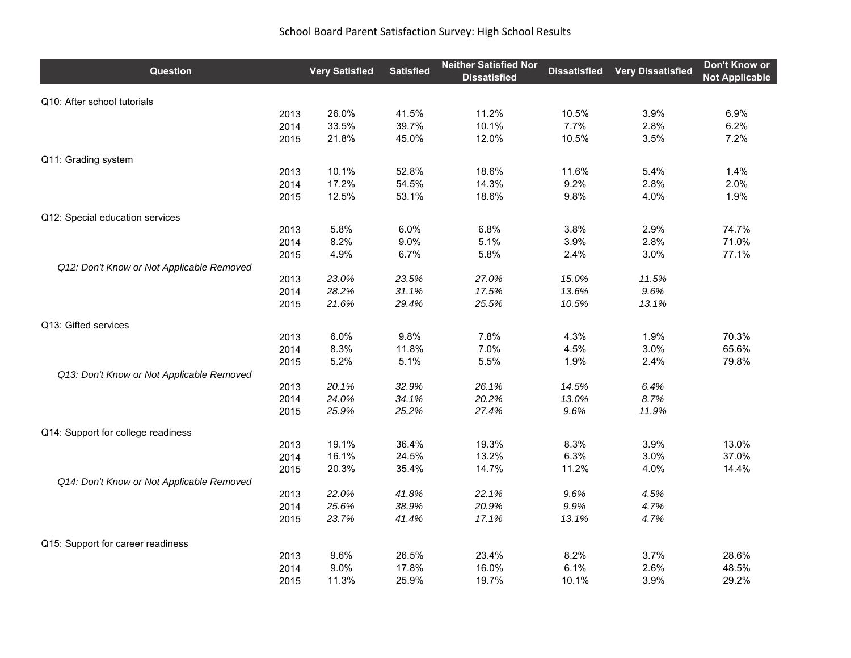## School Board Parent Satisfaction Survey: High School Results

| Question                                          | <b>Very Satisfied</b> | <b>Satisfied</b> | <b>Neither Satisfied Nor</b><br><b>Dissatisfied</b> | <b>Dissatisfied</b> | <b>Very Dissatisfied</b> | Don't Know or<br><b>Not Applicable</b> |
|---------------------------------------------------|-----------------------|------------------|-----------------------------------------------------|---------------------|--------------------------|----------------------------------------|
| Q10: After school tutorials                       |                       |                  |                                                     |                     |                          |                                        |
| 2013                                              | 26.0%                 | 41.5%            | 11.2%                                               | 10.5%               | 3.9%                     | 6.9%                                   |
| 2014                                              | 33.5%                 | 39.7%            | 10.1%                                               | 7.7%                | 2.8%                     | 6.2%                                   |
| 2015                                              | 21.8%                 | 45.0%            | 12.0%                                               | 10.5%               | 3.5%                     | 7.2%                                   |
| Q11: Grading system                               |                       |                  |                                                     |                     |                          |                                        |
| 2013                                              | 10.1%                 | 52.8%            | 18.6%                                               | 11.6%               | 5.4%                     | 1.4%                                   |
| 2014                                              | 17.2%                 | 54.5%            | 14.3%                                               | 9.2%                | 2.8%                     | 2.0%                                   |
| 2015                                              | 12.5%                 | 53.1%            | 18.6%                                               | 9.8%                | 4.0%                     | 1.9%                                   |
| Q12: Special education services                   |                       |                  |                                                     |                     |                          |                                        |
| 2013                                              | 5.8%                  | 6.0%             | 6.8%                                                | 3.8%                | 2.9%                     | 74.7%                                  |
| 2014                                              | 8.2%                  | 9.0%             | 5.1%                                                | 3.9%                | 2.8%                     | 71.0%                                  |
| 2015                                              | 4.9%                  | 6.7%             | 5.8%                                                | 2.4%                | 3.0%                     | 77.1%                                  |
| Q12: Don't Know or Not Applicable Removed<br>2013 | 23.0%                 | 23.5%            | 27.0%                                               | 15.0%               | 11.5%                    |                                        |
| 2014                                              | 28.2%                 | 31.1%            | 17.5%                                               | 13.6%               | 9.6%                     |                                        |
| 2015                                              | 21.6%                 | 29.4%            | 25.5%                                               | 10.5%               | 13.1%                    |                                        |
|                                                   |                       |                  |                                                     |                     |                          |                                        |
| Q13: Gifted services                              |                       |                  |                                                     |                     |                          |                                        |
| 2013                                              | 6.0%                  | 9.8%             | 7.8%                                                | 4.3%                | 1.9%                     | 70.3%                                  |
| 2014                                              | 8.3%                  | 11.8%            | 7.0%                                                | 4.5%                | 3.0%                     | 65.6%                                  |
| 2015                                              | 5.2%                  | 5.1%             | 5.5%                                                | 1.9%                | 2.4%                     | 79.8%                                  |
| Q13: Don't Know or Not Applicable Removed         |                       |                  |                                                     |                     |                          |                                        |
| 2013                                              | 20.1%                 | 32.9%            | 26.1%                                               | 14.5%               | 6.4%                     |                                        |
| 2014                                              | 24.0%                 | 34.1%            | 20.2%                                               | 13.0%               | 8.7%                     |                                        |
| 2015                                              | 25.9%                 | 25.2%            | 27.4%                                               | 9.6%                | 11.9%                    |                                        |
| Q14: Support for college readiness                |                       |                  |                                                     |                     |                          |                                        |
| 2013                                              | 19.1%                 | 36.4%            | 19.3%                                               | 8.3%                | 3.9%                     | 13.0%                                  |
| 2014                                              | 16.1%                 | 24.5%            | 13.2%                                               | 6.3%                | 3.0%                     | 37.0%                                  |
| 2015                                              | 20.3%                 | 35.4%            | 14.7%                                               | 11.2%               | 4.0%                     | 14.4%                                  |
| Q14: Don't Know or Not Applicable Removed         |                       |                  |                                                     |                     |                          |                                        |
| 2013                                              | 22.0%                 | 41.8%            | 22.1%                                               | 9.6%                | 4.5%                     |                                        |
| 2014                                              | 25.6%                 | 38.9%            | 20.9%                                               | 9.9%                | 4.7%                     |                                        |
| 2015                                              | 23.7%                 | 41.4%            | 17.1%                                               | 13.1%               | 4.7%                     |                                        |
| Q15: Support for career readiness                 |                       |                  |                                                     |                     |                          |                                        |
| 2013                                              | 9.6%                  | 26.5%            | 23.4%                                               | 8.2%                | 3.7%                     | 28.6%                                  |
| 2014                                              | 9.0%                  | 17.8%            | 16.0%                                               | 6.1%                | 2.6%                     | 48.5%                                  |
| 2015                                              | 11.3%                 | 25.9%            | 19.7%                                               | 10.1%               | 3.9%                     | 29.2%                                  |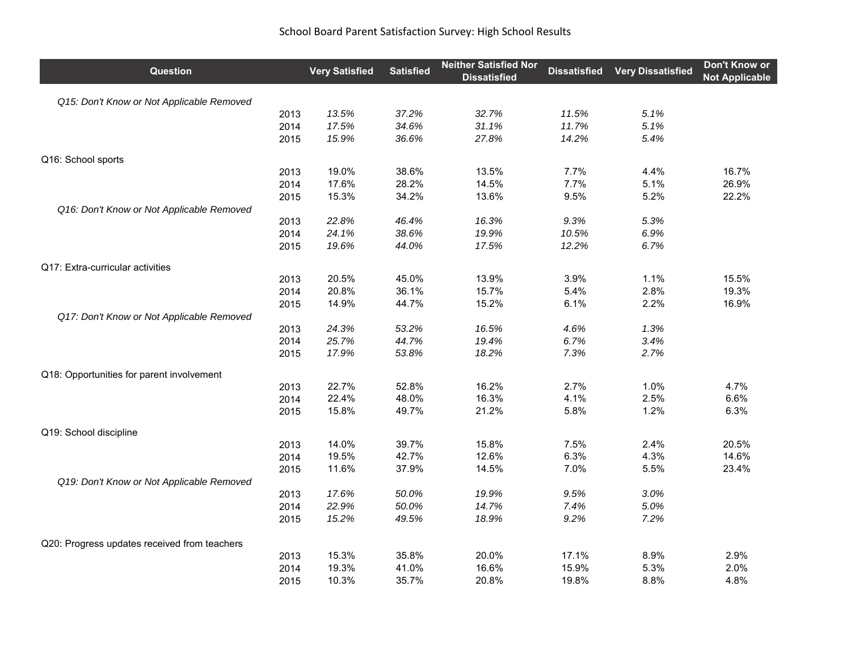| Question                                     | <b>Very Satisfied</b> | <b>Satisfied</b> | <b>Neither Satisfied Nor</b><br><b>Dissatisfied</b> | <b>Dissatisfied</b> | <b>Very Dissatisfied</b> | Don't Know or<br><b>Not Applicable</b> |
|----------------------------------------------|-----------------------|------------------|-----------------------------------------------------|---------------------|--------------------------|----------------------------------------|
| Q15: Don't Know or Not Applicable Removed    |                       |                  |                                                     |                     |                          |                                        |
| 2013                                         | 13.5%                 | 37.2%            | 32.7%                                               | 11.5%               | 5.1%                     |                                        |
| 2014                                         | 17.5%                 | 34.6%            | 31.1%                                               | 11.7%               | 5.1%                     |                                        |
| 2015                                         | 15.9%                 | 36.6%            | 27.8%                                               | 14.2%               | 5.4%                     |                                        |
| Q16: School sports                           |                       |                  |                                                     |                     |                          |                                        |
| 2013                                         | 19.0%                 | 38.6%            | 13.5%                                               | 7.7%                | 4.4%                     | 16.7%                                  |
| 2014                                         | 17.6%                 | 28.2%            | 14.5%                                               | 7.7%                | 5.1%                     | 26.9%                                  |
| 2015                                         | 15.3%                 | 34.2%            | 13.6%                                               | 9.5%                | 5.2%                     | 22.2%                                  |
| Q16: Don't Know or Not Applicable Removed    |                       |                  |                                                     |                     |                          |                                        |
| 2013                                         | 22.8%                 | 46.4%            | 16.3%                                               | 9.3%                | 5.3%                     |                                        |
| 2014                                         | 24.1%                 | 38.6%            | 19.9%                                               | 10.5%               | 6.9%                     |                                        |
| 2015                                         | 19.6%                 | 44.0%            | 17.5%                                               | 12.2%               | 6.7%                     |                                        |
| Q17: Extra-curricular activities             |                       |                  |                                                     |                     |                          |                                        |
| 2013                                         | 20.5%                 | 45.0%            | 13.9%                                               | 3.9%                | 1.1%                     | 15.5%                                  |
| 2014                                         | 20.8%                 | 36.1%            | 15.7%                                               | 5.4%                | 2.8%                     | 19.3%                                  |
| 2015                                         | 14.9%                 | 44.7%            | 15.2%                                               | 6.1%                | 2.2%                     | 16.9%                                  |
| Q17: Don't Know or Not Applicable Removed    |                       |                  |                                                     |                     |                          |                                        |
| 2013                                         | 24.3%                 | 53.2%            | 16.5%                                               | 4.6%                | 1.3%                     |                                        |
| 2014                                         | 25.7%                 | 44.7%            | 19.4%                                               | 6.7%                | 3.4%                     |                                        |
| 2015                                         | 17.9%                 | 53.8%            | 18.2%                                               | 7.3%                | 2.7%                     |                                        |
| Q18: Opportunities for parent involvement    |                       |                  |                                                     |                     |                          |                                        |
| 2013                                         | 22.7%                 | 52.8%            | 16.2%                                               | 2.7%                | 1.0%                     | 4.7%                                   |
| 2014                                         | 22.4%                 | 48.0%            | 16.3%                                               | 4.1%                | 2.5%                     | 6.6%                                   |
| 2015                                         | 15.8%                 | 49.7%            | 21.2%                                               | 5.8%                | 1.2%                     | 6.3%                                   |
| Q19: School discipline                       |                       |                  |                                                     |                     |                          |                                        |
| 2013                                         | 14.0%                 | 39.7%            | 15.8%                                               | 7.5%                | 2.4%                     | 20.5%                                  |
| 2014                                         | 19.5%                 | 42.7%            | 12.6%                                               | 6.3%                | 4.3%                     | 14.6%                                  |
| 2015                                         | 11.6%                 | 37.9%            | 14.5%                                               | 7.0%                | 5.5%                     | 23.4%                                  |
| Q19: Don't Know or Not Applicable Removed    |                       |                  |                                                     |                     |                          |                                        |
| 2013                                         | 17.6%                 | 50.0%            | 19.9%                                               | 9.5%                | 3.0%                     |                                        |
| 2014                                         | 22.9%                 | 50.0%            | 14.7%                                               | 7.4%                | 5.0%                     |                                        |
| 2015                                         | 15.2%                 | 49.5%            | 18.9%                                               | 9.2%                | 7.2%                     |                                        |
| Q20: Progress updates received from teachers |                       |                  |                                                     |                     |                          |                                        |
| 2013                                         | 15.3%                 | 35.8%            | 20.0%                                               | 17.1%               | 8.9%                     | 2.9%                                   |
| 2014                                         | 19.3%                 | 41.0%            | 16.6%                                               | 15.9%               | 5.3%                     | 2.0%                                   |
| 2015                                         | 10.3%                 | 35.7%            | 20.8%                                               | 19.8%               | 8.8%                     | 4.8%                                   |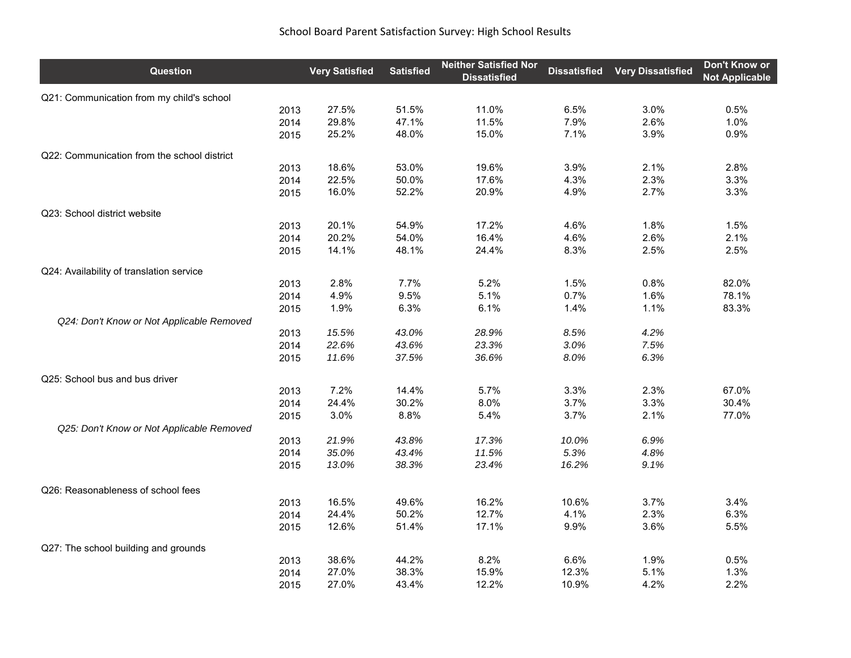| <b>Question</b>                             | <b>Very Satisfied</b> | <b>Satisfied</b> | <b>Neither Satisfied Nor</b><br><b>Dissatisfied</b> | <b>Dissatisfied</b> | <b>Very Dissatisfied</b> | Don't Know or<br><b>Not Applicable</b> |
|---------------------------------------------|-----------------------|------------------|-----------------------------------------------------|---------------------|--------------------------|----------------------------------------|
| Q21: Communication from my child's school   |                       |                  |                                                     |                     |                          |                                        |
| 2013                                        | 27.5%                 | 51.5%            | 11.0%                                               | 6.5%                | 3.0%                     | 0.5%                                   |
| 2014                                        | 29.8%                 | 47.1%            | 11.5%                                               | 7.9%                | 2.6%                     | 1.0%                                   |
| 2015                                        | 25.2%                 | 48.0%            | 15.0%                                               | 7.1%                | 3.9%                     | 0.9%                                   |
| Q22: Communication from the school district |                       |                  |                                                     |                     |                          |                                        |
| 2013                                        | 18.6%                 | 53.0%            | 19.6%                                               | 3.9%                | 2.1%                     | 2.8%                                   |
| 2014                                        | 22.5%                 | 50.0%            | 17.6%                                               | 4.3%                | 2.3%                     | 3.3%                                   |
| 2015                                        | 16.0%                 | 52.2%            | 20.9%                                               | 4.9%                | 2.7%                     | 3.3%                                   |
| Q23: School district website                |                       |                  |                                                     |                     |                          |                                        |
| 2013                                        | 20.1%                 | 54.9%            | 17.2%                                               | 4.6%                | 1.8%                     | 1.5%                                   |
| 2014                                        | 20.2%                 | 54.0%            | 16.4%                                               | 4.6%                | 2.6%                     | 2.1%                                   |
| 2015                                        | 14.1%                 | 48.1%            | 24.4%                                               | 8.3%                | 2.5%                     | 2.5%                                   |
| Q24: Availability of translation service    |                       |                  |                                                     |                     |                          |                                        |
| 2013                                        | 2.8%                  | 7.7%             | 5.2%                                                | 1.5%                | 0.8%                     | 82.0%                                  |
| 2014                                        | 4.9%                  | 9.5%             | 5.1%                                                | 0.7%                | 1.6%                     | 78.1%                                  |
| 2015                                        | 1.9%                  | 6.3%             | 6.1%                                                | 1.4%                | 1.1%                     | 83.3%                                  |
| Q24: Don't Know or Not Applicable Removed   |                       |                  |                                                     |                     |                          |                                        |
| 2013                                        | 15.5%                 | 43.0%            | 28.9%                                               | 8.5%                | 4.2%                     |                                        |
| 2014                                        | 22.6%                 | 43.6%            | 23.3%                                               | 3.0%                | 7.5%                     |                                        |
| 2015                                        | 11.6%                 | 37.5%            | 36.6%                                               | 8.0%                | 6.3%                     |                                        |
| Q25: School bus and bus driver              |                       |                  |                                                     |                     |                          |                                        |
| 2013                                        | 7.2%                  | 14.4%            | 5.7%                                                | 3.3%                | 2.3%                     | 67.0%                                  |
| 2014                                        | 24.4%                 | 30.2%            | 8.0%                                                | 3.7%                | 3.3%                     | 30.4%                                  |
| 2015                                        | 3.0%                  | 8.8%             | 5.4%                                                | 3.7%                | 2.1%                     | 77.0%                                  |
| Q25: Don't Know or Not Applicable Removed   |                       |                  |                                                     |                     |                          |                                        |
| 2013                                        | 21.9%                 | 43.8%            | 17.3%                                               | 10.0%               | 6.9%                     |                                        |
| 2014                                        | 35.0%                 | 43.4%            | 11.5%                                               | 5.3%                | 4.8%                     |                                        |
| 2015                                        | 13.0%                 | 38.3%            | 23.4%                                               | 16.2%               | 9.1%                     |                                        |
| Q26: Reasonableness of school fees          |                       |                  |                                                     |                     |                          |                                        |
| 2013                                        | 16.5%                 | 49.6%            | 16.2%                                               | 10.6%               | 3.7%                     | 3.4%                                   |
| 2014                                        | 24.4%                 | 50.2%            | 12.7%                                               | 4.1%                | 2.3%                     | 6.3%                                   |
| 2015                                        | 12.6%                 | 51.4%            | 17.1%                                               | 9.9%                | 3.6%                     | 5.5%                                   |
| Q27: The school building and grounds        |                       |                  |                                                     |                     |                          |                                        |
| 2013                                        | 38.6%                 | 44.2%            | 8.2%                                                | 6.6%                | 1.9%                     | 0.5%                                   |
| 2014                                        | 27.0%                 | 38.3%            | 15.9%                                               | 12.3%               | 5.1%                     | 1.3%                                   |
| 2015                                        | 27.0%                 | 43.4%            | 12.2%                                               | 10.9%               | 4.2%                     | 2.2%                                   |